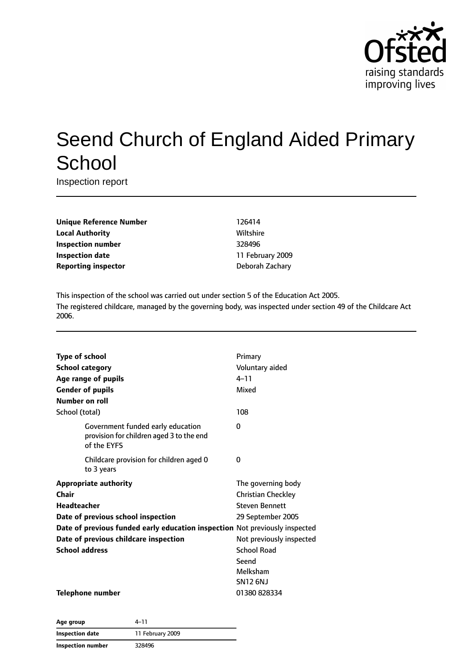

# Seend Church of England Aided Primary **School**

Inspection report

| <b>Unique Reference Number</b> |
|--------------------------------|
| <b>Local Authority</b>         |
| <b>Inspection number</b>       |
| Inspection date                |
| <b>Reporting inspector</b>     |

**Unique Reference Number** 126414 **Wiltshire Inspection number** 328496 **Inspection date** 11 February 2009 **Deborah Zachary** 

This inspection of the school was carried out under section 5 of the Education Act 2005. The registered childcare, managed by the governing body, was inspected under section 49 of the Childcare Act 2006.

|                                                                                              | Primary                   |
|----------------------------------------------------------------------------------------------|---------------------------|
| <b>Type of school</b>                                                                        |                           |
| <b>School category</b>                                                                       | Voluntary aided           |
| Age range of pupils                                                                          | $4 - 11$                  |
| <b>Gender of pupils</b>                                                                      | Mixed                     |
| Number on roll                                                                               |                           |
| School (total)                                                                               | 108                       |
| Government funded early education<br>provision for children aged 3 to the end<br>of the EYFS | 0                         |
| Childcare provision for children aged 0<br>to 3 years                                        | 0                         |
| <b>Appropriate authority</b>                                                                 | The governing body        |
| Chair                                                                                        | <b>Christian Checkley</b> |
| Headteacher                                                                                  | <b>Steven Bennett</b>     |
| Date of previous school inspection                                                           | 29 September 2005         |
| Date of previous funded early education inspection Not previously inspected                  |                           |
| Date of previous childcare inspection                                                        | Not previously inspected  |
| <b>School address</b>                                                                        | <b>School Road</b>        |
|                                                                                              | Seend                     |
|                                                                                              | Melksham                  |
|                                                                                              | <b>SN12 6NJ</b>           |
| <b>Telephone number</b>                                                                      | 01380828334               |

| Age group                | 4–11             |
|--------------------------|------------------|
| <b>Inspection date</b>   | 11 February 2009 |
| <b>Inspection number</b> | 328496           |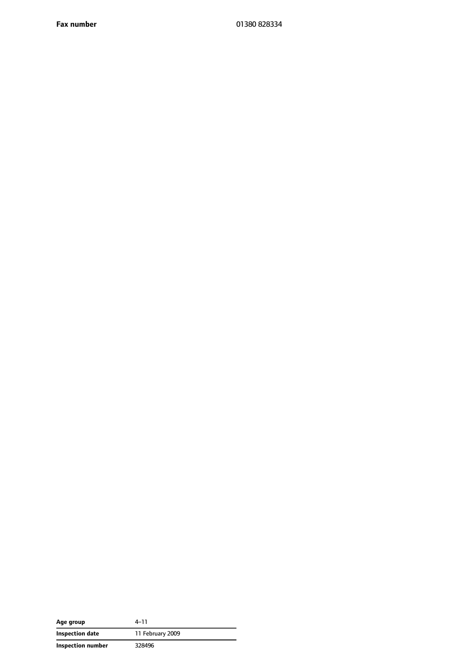**Fax number** 01380 828334

| Age group         | 4–11             |
|-------------------|------------------|
| Inspection date   | 11 February 2009 |
| Inspection number | 328496           |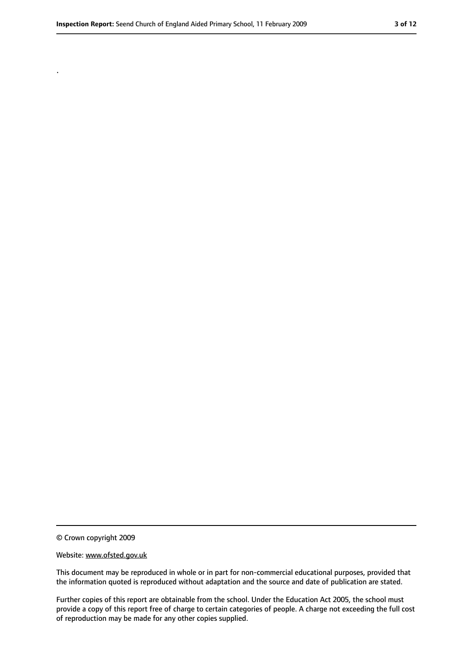.

<sup>©</sup> Crown copyright 2009

Website: www.ofsted.gov.uk

This document may be reproduced in whole or in part for non-commercial educational purposes, provided that the information quoted is reproduced without adaptation and the source and date of publication are stated.

Further copies of this report are obtainable from the school. Under the Education Act 2005, the school must provide a copy of this report free of charge to certain categories of people. A charge not exceeding the full cost of reproduction may be made for any other copies supplied.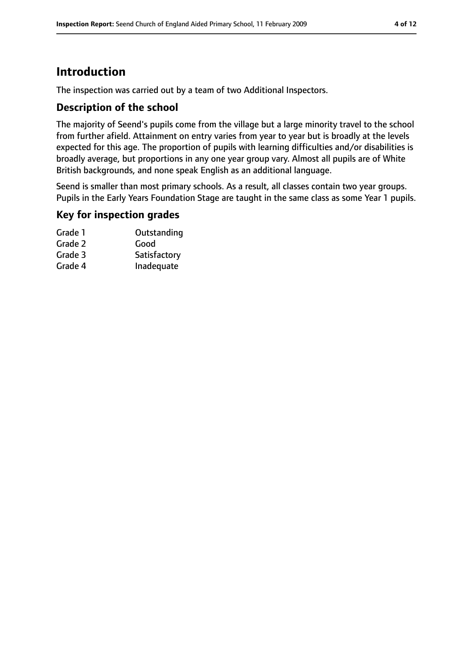# **Introduction**

The inspection was carried out by a team of two Additional Inspectors.

#### **Description of the school**

The majority of Seend's pupils come from the village but a large minority travel to the school from further afield. Attainment on entry varies from year to year but is broadly at the levels expected for this age. The proportion of pupils with learning difficulties and/or disabilities is broadly average, but proportions in any one year group vary. Almost all pupils are of White British backgrounds, and none speak English as an additional language.

Seend is smaller than most primary schools. As a result, all classes contain two year groups. Pupils in the Early Years Foundation Stage are taught in the same class as some Year 1 pupils.

#### **Key for inspection grades**

| Grade 1 | Outstanding  |
|---------|--------------|
| Grade 2 | Good         |
| Grade 3 | Satisfactory |
| Grade 4 | Inadequate   |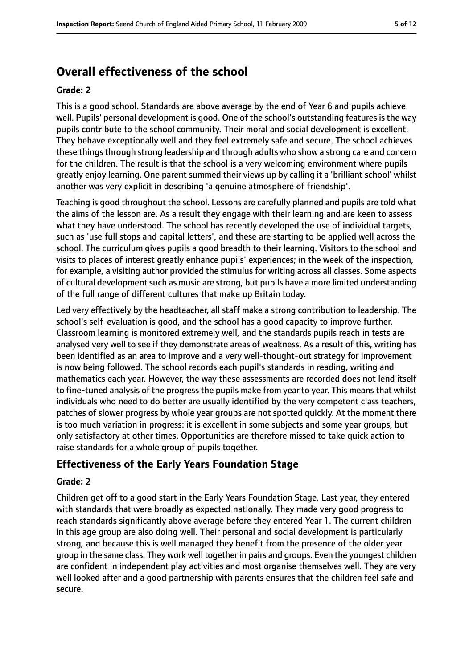# **Overall effectiveness of the school**

#### **Grade: 2**

This is a good school. Standards are above average by the end of Year 6 and pupils achieve well. Pupils' personal development is good. One of the school's outstanding features is the way pupils contribute to the school community. Their moral and social development is excellent. They behave exceptionally well and they feel extremely safe and secure. The school achieves these things through strong leadership and through adults who show a strong care and concern for the children. The result is that the school is a very welcoming environment where pupils greatly enjoy learning. One parent summed their views up by calling it a 'brilliant school' whilst another was very explicit in describing 'a genuine atmosphere of friendship'.

Teaching is good throughout the school. Lessons are carefully planned and pupils are told what the aims of the lesson are. As a result they engage with their learning and are keen to assess what they have understood. The school has recently developed the use of individual targets, such as 'use full stops and capital letters', and these are starting to be applied well across the school. The curriculum gives pupils a good breadth to their learning. Visitors to the school and visits to places of interest greatly enhance pupils' experiences; in the week of the inspection, for example, a visiting author provided the stimulus for writing across all classes. Some aspects of cultural development such as music are strong, but pupils have a more limited understanding of the full range of different cultures that make up Britain today.

Led very effectively by the headteacher, all staff make a strong contribution to leadership. The school's self-evaluation is good, and the school has a good capacity to improve further. Classroom learning is monitored extremely well, and the standards pupils reach in tests are analysed very well to see if they demonstrate areas of weakness. As a result of this, writing has been identified as an area to improve and a very well-thought-out strategy for improvement is now being followed. The school records each pupil's standards in reading, writing and mathematics each year. However, the way these assessments are recorded does not lend itself to fine-tuned analysis of the progress the pupils make from year to year. This means that whilst individuals who need to do better are usually identified by the very competent class teachers, patches of slower progress by whole year groups are not spotted quickly. At the moment there is too much variation in progress: it is excellent in some subjects and some year groups, but only satisfactory at other times. Opportunities are therefore missed to take quick action to raise standards for a whole group of pupils together.

#### **Effectiveness of the Early Years Foundation Stage**

#### **Grade: 2**

Children get off to a good start in the Early Years Foundation Stage. Last year, they entered with standards that were broadly as expected nationally. They made very good progress to reach standards significantly above average before they entered Year 1. The current children in this age group are also doing well. Their personal and social development is particularly strong, and because this is well managed they benefit from the presence of the older year group in the same class. They work well together in pairs and groups. Even the youngest children are confident in independent play activities and most organise themselves well. They are very well looked after and a good partnership with parents ensures that the children feel safe and secure.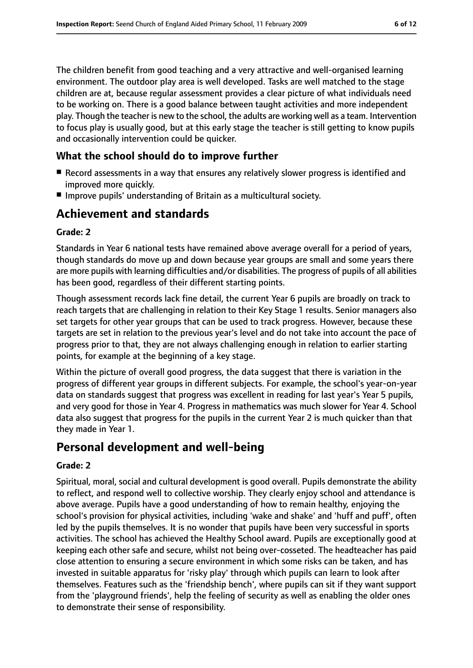The children benefit from good teaching and a very attractive and well-organised learning environment. The outdoor play area is well developed. Tasks are well matched to the stage children are at, because regular assessment provides a clear picture of what individuals need to be working on. There is a good balance between taught activities and more independent play. Though the teacher is new to the school, the adults are working well as a team. Intervention to focus play is usually good, but at this early stage the teacher is still getting to know pupils and occasionally intervention could be quicker.

#### **What the school should do to improve further**

- Record assessments in a way that ensures any relatively slower progress is identified and improved more quickly.
- Improve pupils' understanding of Britain as a multicultural society.

### **Achievement and standards**

#### **Grade: 2**

Standards in Year 6 national tests have remained above average overall for a period of years, though standards do move up and down because year groups are small and some years there are more pupils with learning difficulties and/or disabilities. The progress of pupils of all abilities has been good, regardless of their different starting points.

Though assessment records lack fine detail, the current Year 6 pupils are broadly on track to reach targets that are challenging in relation to their Key Stage 1 results. Senior managers also set targets for other year groups that can be used to track progress. However, because these targets are set in relation to the previous year's level and do not take into account the pace of progress prior to that, they are not always challenging enough in relation to earlier starting points, for example at the beginning of a key stage.

Within the picture of overall good progress, the data suggest that there is variation in the progress of different year groups in different subjects. For example, the school's year-on-year data on standards suggest that progress was excellent in reading for last year's Year 5 pupils, and very good for those in Year 4. Progress in mathematics was much slower for Year 4. School data also suggest that progress for the pupils in the current Year 2 is much quicker than that they made in Year 1.

#### **Personal development and well-being**

#### **Grade: 2**

Spiritual, moral, social and cultural development is good overall. Pupils demonstrate the ability to reflect, and respond well to collective worship. They clearly enjoy school and attendance is above average. Pupils have a good understanding of how to remain healthy, enjoying the school's provision for physical activities, including 'wake and shake' and 'huff and puff', often led by the pupils themselves. It is no wonder that pupils have been very successful in sports activities. The school has achieved the Healthy School award. Pupils are exceptionally good at keeping each other safe and secure, whilst not being over-cosseted. The headteacher has paid close attention to ensuring a secure environment in which some risks can be taken, and has invested in suitable apparatus for 'risky play' through which pupils can learn to look after themselves. Features such as the 'friendship bench', where pupils can sit if they want support from the 'playground friends', help the feeling of security as well as enabling the older ones to demonstrate their sense of responsibility.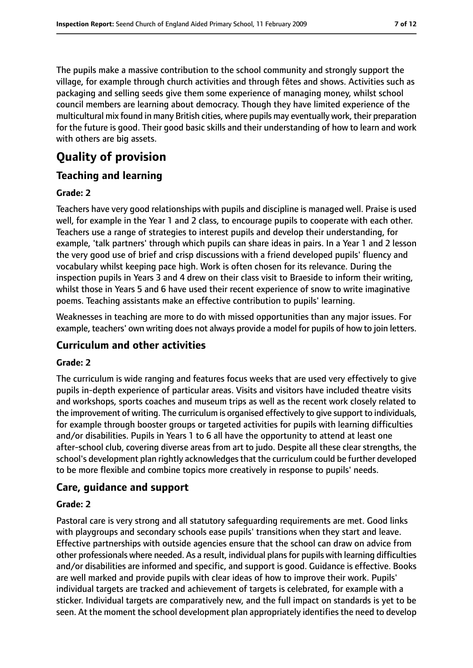The pupils make a massive contribution to the school community and strongly support the village, for example through church activities and through fêtes and shows. Activities such as packaging and selling seeds give them some experience of managing money, whilst school council members are learning about democracy. Though they have limited experience of the multicultural mix found in many British cities, where pupils may eventually work, their preparation for the future is good. Their good basic skills and their understanding of how to learn and work with others are big assets.

# **Quality of provision**

### **Teaching and learning**

#### **Grade: 2**

Teachers have very good relationships with pupils and discipline is managed well. Praise is used well, for example in the Year 1 and 2 class, to encourage pupils to cooperate with each other. Teachers use a range of strategies to interest pupils and develop their understanding, for example, 'talk partners' through which pupils can share ideas in pairs. In a Year 1 and 2 lesson the very good use of brief and crisp discussions with a friend developed pupils' fluency and vocabulary whilst keeping pace high. Work is often chosen for its relevance. During the inspection pupils in Years 3 and 4 drew on their class visit to Braeside to inform their writing, whilst those in Years 5 and 6 have used their recent experience of snow to write imaginative poems. Teaching assistants make an effective contribution to pupils' learning.

Weaknesses in teaching are more to do with missed opportunities than any major issues. For example, teachers' own writing does not always provide a model for pupils of how to join letters.

#### **Curriculum and other activities**

#### **Grade: 2**

The curriculum is wide ranging and features focus weeks that are used very effectively to give pupils in-depth experience of particular areas. Visits and visitors have included theatre visits and workshops, sports coaches and museum trips as well as the recent work closely related to the improvement of writing. The curriculum is organised effectively to give support to individuals, for example through booster groups or targeted activities for pupils with learning difficulties and/or disabilities. Pupils in Years 1 to 6 all have the opportunity to attend at least one after-school club, covering diverse areas from art to judo. Despite all these clear strengths, the school's development plan rightly acknowledgesthat the curriculum could be further developed to be more flexible and combine topics more creatively in response to pupils' needs.

#### **Care, guidance and support**

#### **Grade: 2**

Pastoral care is very strong and all statutory safeguarding requirements are met. Good links with playgroups and secondary schools ease pupils' transitions when they start and leave. Effective partnerships with outside agencies ensure that the school can draw on advice from other professionals where needed. As a result, individual plansfor pupils with learning difficulties and/or disabilities are informed and specific, and support is good. Guidance is effective. Books are well marked and provide pupils with clear ideas of how to improve their work. Pupils' individual targets are tracked and achievement of targets is celebrated, for example with a sticker. Individual targets are comparatively new, and the full impact on standards is yet to be seen. At the moment the school development plan appropriately identifies the need to develop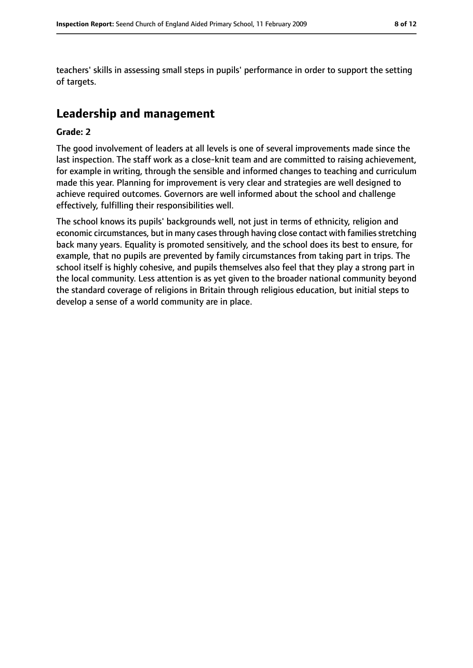teachers' skills in assessing small steps in pupils' performance in order to support the setting of targets.

## **Leadership and management**

#### **Grade: 2**

The good involvement of leaders at all levels is one of several improvements made since the last inspection. The staff work as a close-knit team and are committed to raising achievement, for example in writing, through the sensible and informed changes to teaching and curriculum made this year. Planning for improvement is very clear and strategies are well designed to achieve required outcomes. Governors are well informed about the school and challenge effectively, fulfilling their responsibilities well.

The school knows its pupils' backgrounds well, not just in terms of ethnicity, religion and economic circumstances, but in many cases through having close contact with families stretching back many years. Equality is promoted sensitively, and the school does its best to ensure, for example, that no pupils are prevented by family circumstances from taking part in trips. The school itself is highly cohesive, and pupils themselves also feel that they play a strong part in the local community. Less attention is as yet given to the broader national community beyond the standard coverage of religions in Britain through religious education, but initial steps to develop a sense of a world community are in place.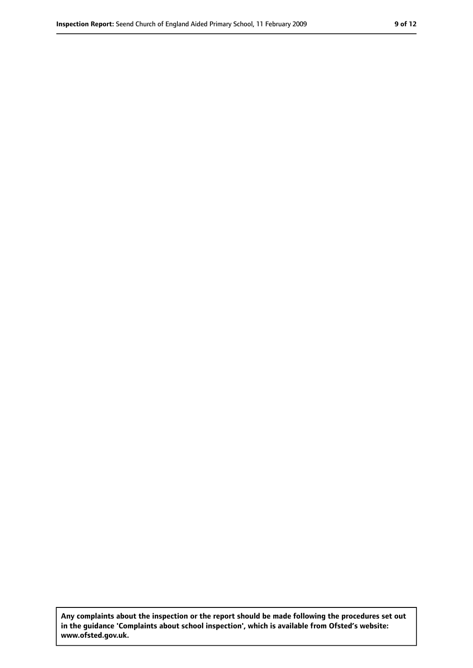**Any complaints about the inspection or the report should be made following the procedures set out in the guidance 'Complaints about school inspection', which is available from Ofsted's website: www.ofsted.gov.uk.**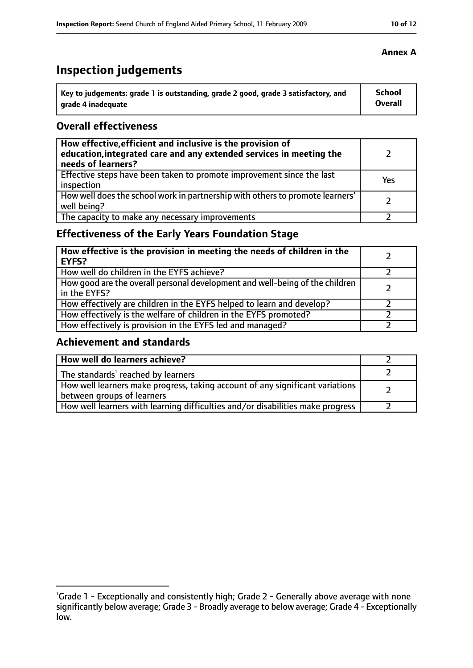# **Inspection judgements**

| Key to judgements: grade 1 is outstanding, grade 2 good, grade 3 satisfactory, and | <b>School</b>  |
|------------------------------------------------------------------------------------|----------------|
| arade 4 inadequate                                                                 | <b>Overall</b> |

#### **Overall effectiveness**

| How effective, efficient and inclusive is the provision of<br>education, integrated care and any extended services in meeting the<br>needs of learners? |     |
|---------------------------------------------------------------------------------------------------------------------------------------------------------|-----|
| Effective steps have been taken to promote improvement since the last<br>inspection                                                                     | Yes |
| How well does the school work in partnership with others to promote learners'<br>well being?                                                            |     |
| The capacity to make any necessary improvements                                                                                                         |     |

### **Effectiveness of the Early Years Foundation Stage**

| How effective is the provision in meeting the needs of children in the<br><b>EYFS?</b>       |  |
|----------------------------------------------------------------------------------------------|--|
| How well do children in the EYFS achieve?                                                    |  |
| How good are the overall personal development and well-being of the children<br>in the EYFS? |  |
| How effectively are children in the EYFS helped to learn and develop?                        |  |
| How effectively is the welfare of children in the EYFS promoted?                             |  |
| How effectively is provision in the EYFS led and managed?                                    |  |

#### **Achievement and standards**

| How well do learners achieve?                                                                               |  |
|-------------------------------------------------------------------------------------------------------------|--|
| The standards <sup>1</sup> reached by learners                                                              |  |
| How well learners make progress, taking account of any significant variations<br>between groups of learners |  |
| How well learners with learning difficulties and/or disabilities make progress                              |  |

#### **Annex A**

<sup>&</sup>lt;sup>1</sup>Grade 1 - Exceptionally and consistently high; Grade 2 - Generally above average with none significantly below average; Grade 3 - Broadly average to below average; Grade 4 - Exceptionally low.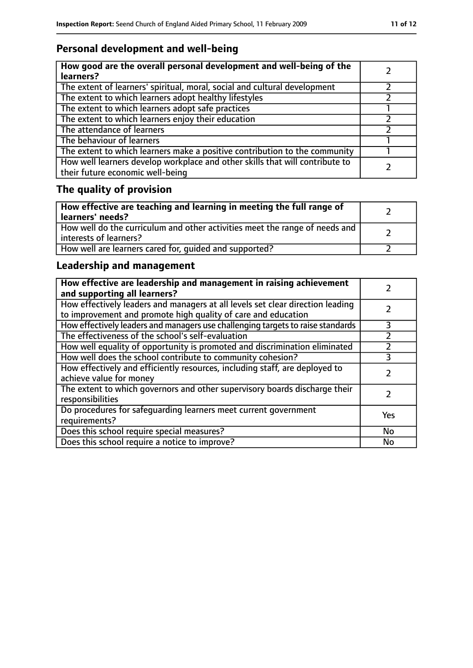### **Personal development and well-being**

| How good are the overall personal development and well-being of the<br>learners?                                 |  |
|------------------------------------------------------------------------------------------------------------------|--|
| The extent of learners' spiritual, moral, social and cultural development                                        |  |
| The extent to which learners adopt healthy lifestyles                                                            |  |
| The extent to which learners adopt safe practices                                                                |  |
| The extent to which learners enjoy their education                                                               |  |
| The attendance of learners                                                                                       |  |
| The behaviour of learners                                                                                        |  |
| The extent to which learners make a positive contribution to the community                                       |  |
| How well learners develop workplace and other skills that will contribute to<br>their future economic well-being |  |

# **The quality of provision**

| How effective are teaching and learning in meeting the full range of<br>learners' needs?              |  |
|-------------------------------------------------------------------------------------------------------|--|
| How well do the curriculum and other activities meet the range of needs and<br>interests of learners? |  |
| How well are learners cared for, quided and supported?                                                |  |

### **Leadership and management**

| How effective are leadership and management in raising achievement<br>and supporting all learners?                                              |     |
|-------------------------------------------------------------------------------------------------------------------------------------------------|-----|
| How effectively leaders and managers at all levels set clear direction leading<br>to improvement and promote high quality of care and education |     |
| How effectively leaders and managers use challenging targets to raise standards                                                                 | 3   |
| The effectiveness of the school's self-evaluation                                                                                               |     |
| How well equality of opportunity is promoted and discrimination eliminated                                                                      |     |
| How well does the school contribute to community cohesion?                                                                                      | 3   |
| How effectively and efficiently resources, including staff, are deployed to<br>achieve value for money                                          |     |
| The extent to which governors and other supervisory boards discharge their<br>responsibilities                                                  |     |
| Do procedures for safequarding learners meet current government<br>requirements?                                                                | Yes |
| Does this school require special measures?                                                                                                      | No  |
| Does this school require a notice to improve?                                                                                                   | No  |